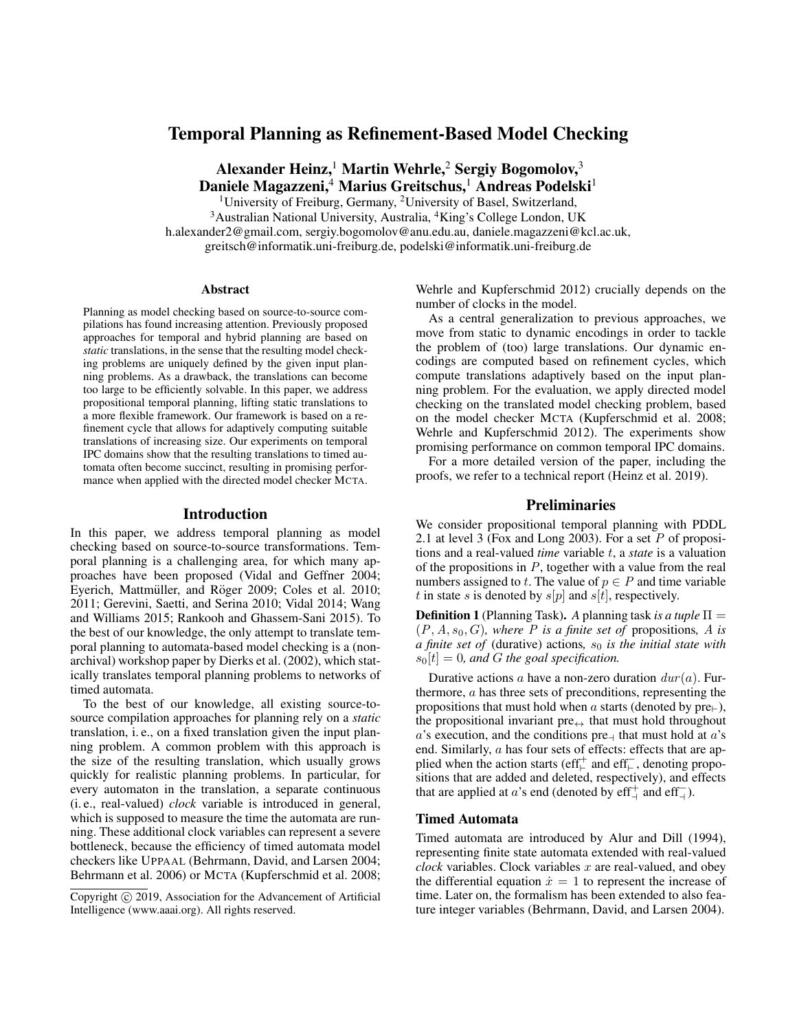# Temporal Planning as Refinement-Based Model Checking

Alexander Heinz, $^1$  Martin Wehrle, $^2$  Sergiy Bogomolov, $^3$ Daniele Magazzeni,<sup>4</sup> Marius Greitschus,<sup>1</sup> Andreas Podelski<sup>1</sup>

<sup>1</sup>University of Freiburg, Germany, <sup>2</sup>University of Basel, Switzerland, <sup>3</sup> Australian National University, Australia, <sup>4</sup>King's College London, UK h.alexander2@gmail.com, sergiy.bogomolov@anu.edu.au, daniele.magazzeni@kcl.ac.uk, greitsch@informatik.uni-freiburg.de, podelski@informatik.uni-freiburg.de

#### Abstract

Planning as model checking based on source-to-source compilations has found increasing attention. Previously proposed approaches for temporal and hybrid planning are based on *static* translations, in the sense that the resulting model checking problems are uniquely defined by the given input planning problems. As a drawback, the translations can become too large to be efficiently solvable. In this paper, we address propositional temporal planning, lifting static translations to a more flexible framework. Our framework is based on a refinement cycle that allows for adaptively computing suitable translations of increasing size. Our experiments on temporal IPC domains show that the resulting translations to timed automata often become succinct, resulting in promising performance when applied with the directed model checker MCTA.

#### Introduction

In this paper, we address temporal planning as model checking based on source-to-source transformations. Temporal planning is a challenging area, for which many approaches have been proposed (Vidal and Geffner 2004; Eyerich, Mattmüller, and Röger 2009; Coles et al. 2010; 2011; Gerevini, Saetti, and Serina 2010; Vidal 2014; Wang and Williams 2015; Rankooh and Ghassem-Sani 2015). To the best of our knowledge, the only attempt to translate temporal planning to automata-based model checking is a (nonarchival) workshop paper by Dierks et al. (2002), which statically translates temporal planning problems to networks of timed automata.

To the best of our knowledge, all existing source-tosource compilation approaches for planning rely on a *static* translation, i. e., on a fixed translation given the input planning problem. A common problem with this approach is the size of the resulting translation, which usually grows quickly for realistic planning problems. In particular, for every automaton in the translation, a separate continuous (i. e., real-valued) *clock* variable is introduced in general, which is supposed to measure the time the automata are running. These additional clock variables can represent a severe bottleneck, because the efficiency of timed automata model checkers like UPPAAL (Behrmann, David, and Larsen 2004; Behrmann et al. 2006) or MCTA (Kupferschmid et al. 2008;

Wehrle and Kupferschmid 2012) crucially depends on the number of clocks in the model.

As a central generalization to previous approaches, we move from static to dynamic encodings in order to tackle the problem of (too) large translations. Our dynamic encodings are computed based on refinement cycles, which compute translations adaptively based on the input planning problem. For the evaluation, we apply directed model checking on the translated model checking problem, based on the model checker MCTA (Kupferschmid et al. 2008; Wehrle and Kupferschmid 2012). The experiments show promising performance on common temporal IPC domains.

For a more detailed version of the paper, including the proofs, we refer to a technical report (Heinz et al. 2019).

### **Preliminaries**

We consider propositional temporal planning with PDDL 2.1 at level 3 (Fox and Long 2003). For a set P of propositions and a real-valued *time* variable t, a *state* is a valuation of the propositions in  $P$ , together with a value from the real numbers assigned to t. The value of  $p \in P$  and time variable t in state s is denoted by  $s[p]$  and  $s[t]$ , respectively.

**Definition 1** (Planning Task). *A* planning task *is a tuple*  $\Pi$  =  $(P, A, s_0, G)$ *, where P is a finite set of* propositions, *A is a finite set of* (durative) actions,  $s_0$  *is the initial state with*  $s_0[t] = 0$ , and G the goal specification.

Durative actions a have a non-zero duration  $dur(a)$ . Furthermore,  $a$  has three sets of preconditions, representing the propositions that must hold when a starts (denoted by  $pre_{\vdash}$ ), the propositional invariant pre $\leftrightarrow$  that must hold throughout  $a$ 's execution, and the conditions pre $\Box$  that must hold at  $a$ 's end. Similarly, a has four sets of effects: effects that are applied when the action starts (eff<sup>+</sup> and eff<sup>-</sup> and efforth denoting propositions that are added and deleted, respectively), and effects that are applied at a's end (denoted by  $\text{eff}^+_+$  and  $\text{eff}^-_+$ ).

#### Timed Automata

Timed automata are introduced by Alur and Dill (1994), representing finite state automata extended with real-valued  $clock$  variables. Clock variables  $x$  are real-valued, and obey the differential equation  $\dot{x} = 1$  to represent the increase of time. Later on, the formalism has been extended to also feature integer variables (Behrmann, David, and Larsen 2004).

Copyright (c) 2019, Association for the Advancement of Artificial Intelligence (www.aaai.org). All rights reserved.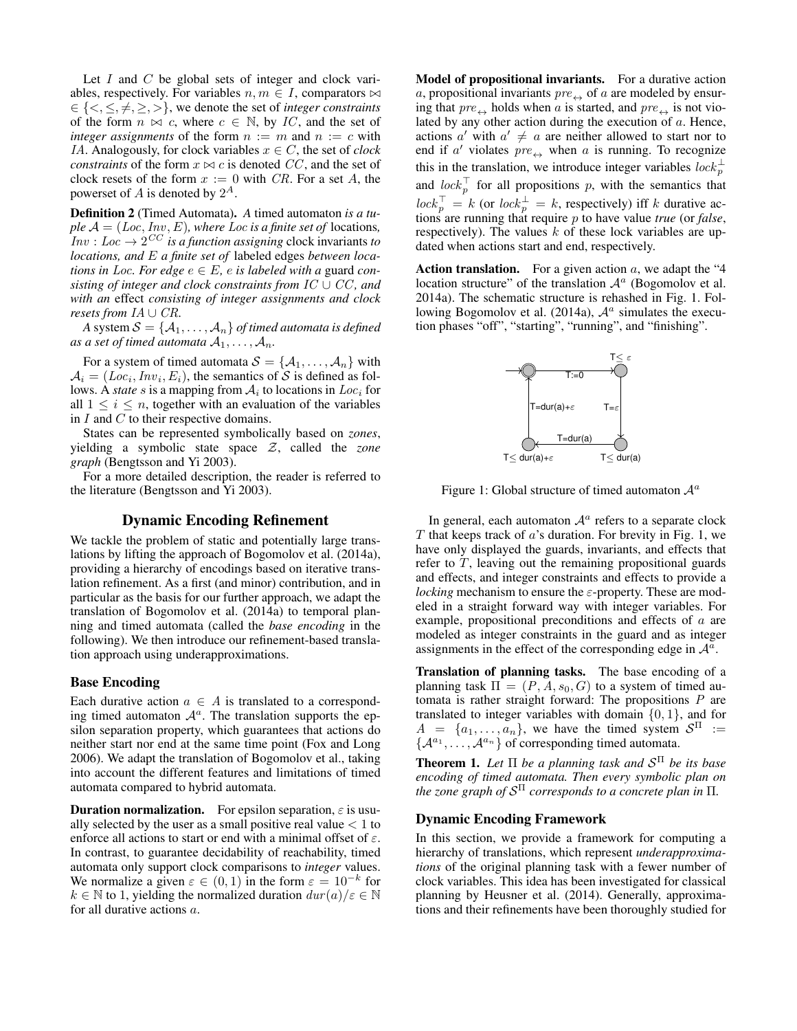Let  $I$  and  $C$  be global sets of integer and clock variables, respectively. For variables  $n, m \in I$ , comparators  $\bowtie$  $\in \{ \leq, \leq, \neq, \geq, \geq \},$  we denote the set of *integer constraints* of the form  $n \bowtie c$ , where  $c \in \mathbb{N}$ , by IC, and the set of *integer assignments* of the form  $n := m$  and  $n := c$  with IA. Analogously, for clock variables  $x \in C$ , the set of *clock constraints* of the form  $x \bowtie c$  is denoted CC, and the set of clock resets of the form  $x := 0$  with CR. For a set A, the powerset of A is denoted by  $2^A$ .

Definition 2 (Timed Automata). *A* timed automaton *is a tu* $ple\ \mathcal{A} = (Loc, Inv, E)$ *, where Loc is a finite set of locations,*  $Inv: Loc \rightarrow 2^{CC}$  *is a function assigning* clock invariants *to locations, and* E *a finite set of* labeled edges *between locations in Loc. For edge*  $e \in E$ , *e is labeled with a guard consisting of integer and clock constraints from* IC ∪ CC *, and with an* effect *consisting of integer assignments and clock resets from*  $IA \cup CR$ *.* 

*A* system  $S = \{A_1, \ldots, A_n\}$  *of timed automata is defined as a set of timed automata*  $A_1, \ldots, A_n$ .

For a system of timed automata  $S = \{A_1, \ldots, A_n\}$  with  $A_i = (Loc_i, Inv_i, E_i)$ , the semantics of S is defined as follows. A *state*  $s$  is a mapping from  $A_i$  to locations in  $Loc_i$  for all  $1 \leq i \leq n$ , together with an evaluation of the variables in  $I$  and  $C$  to their respective domains.

States can be represented symbolically based on *zones*, yielding a symbolic state space Z, called the *zone graph* (Bengtsson and Yi 2003).

For a more detailed description, the reader is referred to the literature (Bengtsson and Yi 2003).

#### Dynamic Encoding Refinement

We tackle the problem of static and potentially large translations by lifting the approach of Bogomolov et al. (2014a), providing a hierarchy of encodings based on iterative translation refinement. As a first (and minor) contribution, and in particular as the basis for our further approach, we adapt the translation of Bogomolov et al. (2014a) to temporal planning and timed automata (called the *base encoding* in the following). We then introduce our refinement-based translation approach using underapproximations.

### Base Encoding

Each durative action  $a \in A$  is translated to a corresponding timed automaton  $A^a$ . The translation supports the epsilon separation property, which guarantees that actions do neither start nor end at the same time point (Fox and Long 2006). We adapt the translation of Bogomolov et al., taking into account the different features and limitations of timed automata compared to hybrid automata.

**Duration normalization.** For epsilon separation,  $\varepsilon$  is usually selected by the user as a small positive real value  $< 1$  to enforce all actions to start or end with a minimal offset of  $\varepsilon$ . In contrast, to guarantee decidability of reachability, timed automata only support clock comparisons to *integer* values. We normalize a given  $\varepsilon \in (0,1)$  in the form  $\varepsilon = 10^{-k}$  for  $k \in \mathbb{N}$  to 1, yielding the normalized duration  $dur(a)/\varepsilon \in \mathbb{N}$ for all durative actions a.

Model of propositional invariants. For a durative action a, propositional invariants  $pre_{\leftrightarrow}$  of a are modeled by ensuring that  $pre_{\leftrightarrow}$  holds when a is started, and  $pre_{\leftrightarrow}$  is not violated by any other action during the execution of a. Hence, actions  $a'$  with  $a' \neq a$  are neither allowed to start nor to end if a' violates  $pre \leftrightarrow$  when a is running. To recognize this in the translation, we introduce integer variables  $lock_p^{\perp}$ and  $lock_p^{\top}$  for all propositions p, with the semantics that  $lock_p^{\perp} = k$  (or  $lock_p^{\perp} = k$ , respectively) iff k durative actions are running that require p to have value *true* (or *false*, respectively). The values  $k$  of these lock variables are updated when actions start and end, respectively.

Action translation. For a given action  $a$ , we adapt the "4 location structure" of the translation  $A^a$  (Bogomolov et al. 2014a). The schematic structure is rehashed in Fig. 1. Following Bogomolov et al. (2014a),  $A^a$  simulates the execution phases "off", "starting", "running", and "finishing".



Figure 1: Global structure of timed automaton  $\mathcal{A}^a$ 

In general, each automaton  $A^a$  refers to a separate clock  $T$  that keeps track of  $a$ 's duration. For brevity in Fig. 1, we have only displayed the guards, invariants, and effects that refer to  $T$ , leaving out the remaining propositional guards and effects, and integer constraints and effects to provide a *locking* mechanism to ensure the  $\varepsilon$ -property. These are modeled in a straight forward way with integer variables. For example, propositional preconditions and effects of a are modeled as integer constraints in the guard and as integer assignments in the effect of the corresponding edge in  $\mathcal{A}^{\tilde{a}}$ .

Translation of planning tasks. The base encoding of a planning task  $\Pi = (P, A, s_0, G)$  to a system of timed automata is rather straight forward: The propositions  $P$  are translated to integer variables with domain  $\{0, 1\}$ , and for  $A = \{a_1, \ldots, a_n\}$ , we have the timed system  $S^{\Pi}$  :=  $\{A^{a_1}, \ldots, A^{a_n}\}$  of corresponding timed automata.

Theorem 1. *Let* Π *be a planning task and* S <sup>Π</sup> *be its base encoding of timed automata. Then every symbolic plan on the zone graph of* S <sup>Π</sup> *corresponds to a concrete plan in* Π*.*

### Dynamic Encoding Framework

In this section, we provide a framework for computing a hierarchy of translations, which represent *underapproximations* of the original planning task with a fewer number of clock variables. This idea has been investigated for classical planning by Heusner et al. (2014). Generally, approximations and their refinements have been thoroughly studied for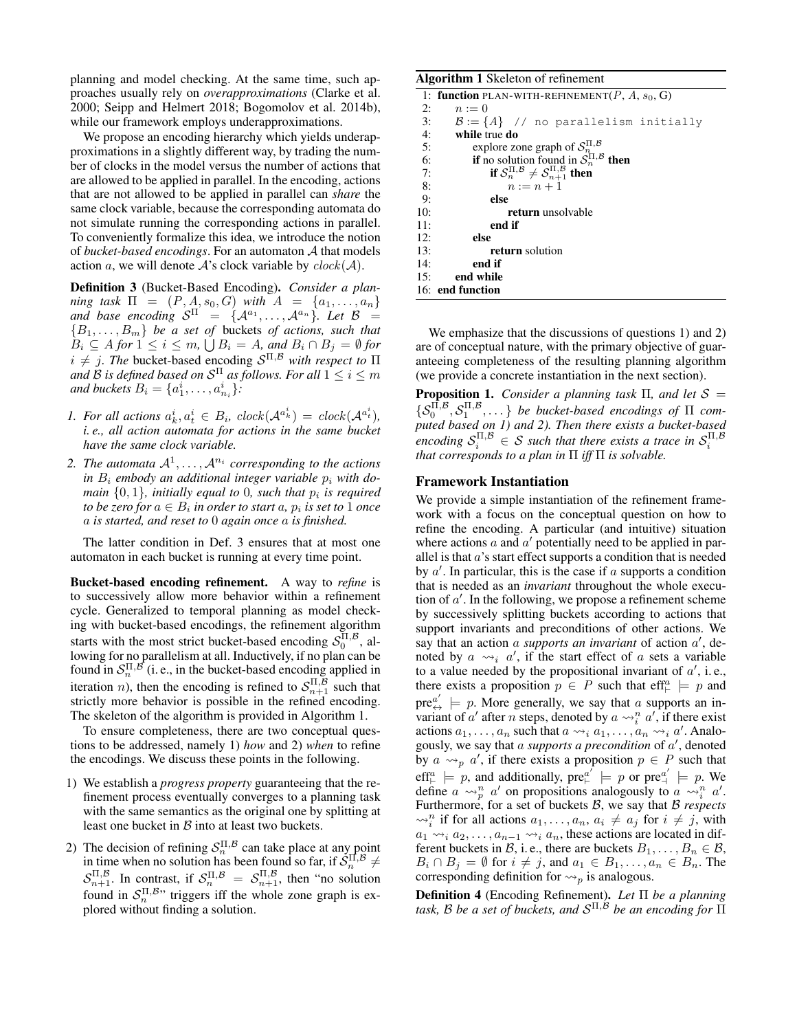planning and model checking. At the same time, such approaches usually rely on *overapproximations* (Clarke et al. 2000; Seipp and Helmert 2018; Bogomolov et al. 2014b), while our framework employs underapproximations.

We propose an encoding hierarchy which yields underapproximations in a slightly different way, by trading the number of clocks in the model versus the number of actions that are allowed to be applied in parallel. In the encoding, actions that are not allowed to be applied in parallel can *share* the same clock variable, because the corresponding automata do not simulate running the corresponding actions in parallel. To conveniently formalize this idea, we introduce the notion of *bucket-based encodings*. For an automaton A that models action a, we will denote  $A$ 's clock variable by  $clock(A)$ .

Definition 3 (Bucket-Based Encoding). *Consider a planning task*  $\Pi = (P, A, s_0, G)$  *with*  $A = \{a_1, \ldots, a_n\}$ and base encoding  $S^{\Pi}$  =  $\{A^{a_1}, \ldots, A^{a_n}\}$ . Let  $\mathcal{B}$  =  ${B_1, \ldots, B_m}$  *be a set of buckets of actions, such that*  $B_i \subseteq A$  *for*  $1 \leq i \leq m$ ,  $\bigcup B_i = A$ *, and*  $B_i \cap B_j = \emptyset$  *for*  $i \neq j$ . The bucket-based encoding  $S^{\Pi,\mathcal{B}}$  *with respect to*  $\Pi$ and  $\overline{\mathcal{B}}$  is defined based on  $\mathcal{S}^{\Pi}$  as follows. For all  $1\leq i\leq m$ *and buckets*  $B_i = \{a_1^i, \ldots, a_{n_i}^i\}$ *:* 

- *1.* For all actions  $a_k^i, a_t^i \in B_i$ ,  $clock(\mathcal{A}^{a_k^i}) = clock(\mathcal{A}^{a_t^i})$ , *i. e., all action automata for actions in the same bucket have the same clock variable.*
- 2. The automata  $A^1, \ldots, A^{n_i}$  corresponding to the actions in  $B_i$  *embody an additional integer variable*  $p_i$  *with domain*  $\{0,1\}$ , initially equal to 0, such that  $p_i$  is required  $to$  be zero for  $a \in B_i$  in order to start  $a, p_i$  is set to  $1$  once a *is started, and reset to* 0 *again once* a *is finished.*

The latter condition in Def. 3 ensures that at most one automaton in each bucket is running at every time point.

Bucket-based encoding refinement. A way to *refine* is to successively allow more behavior within a refinement cycle. Generalized to temporal planning as model checking with bucket-based encodings, the refinement algorithm starts with the most strict bucket-based encoding  $S_0^{\Pi, \mathcal{B}}$ , allowing for no parallelism at all. Inductively, if no plan can be found in  $S_n^{\Pi,\mathcal{B}}$  (i.e., in the bucket-based encoding applied in iteration *n*), then the encoding is refined to  $S_{n+1}^{\Pi,\mathcal{B}}$  such that strictly more behavior is possible in the refined encoding. The skeleton of the algorithm is provided in Algorithm 1.

To ensure completeness, there are two conceptual questions to be addressed, namely 1) *how* and 2) *when* to refine the encodings. We discuss these points in the following.

- 1) We establish a *progress property* guaranteeing that the refinement process eventually converges to a planning task with the same semantics as the original one by splitting at least one bucket in  $\beta$  into at least two buckets.
- 2) The decision of refining  $S_n^{\Pi,\mathcal{B}}$  can take place at any point in time when no solution has been found so far, if  $\dot{S}_n^{\Pi,\mathcal{B}} \neq$  $\mathcal{S}_{n+1}^{\Pi,\beta}$ . In contrast, if  $\mathcal{S}_{n}^{\Pi,\beta} = \mathcal{S}_{n+1}^{\Pi,\beta}$ , then "no solution found in  $S_n^{\Pi,\mathcal{B}}$ " triggers iff the whole zone graph is explored without finding a solution.

#### Algorithm 1 Skeleton of refinement

|     | 1: function PLAN-WITH-REFINEMENT(P, A, $s_0$ , G)              |
|-----|----------------------------------------------------------------|
| 2:  | $n := 0$                                                       |
| 3:  | $\mathcal{B} := \{A\}$ // no parallelism initially             |
| 4:  | while true do                                                  |
| 5:  | explore zone graph of $S_n^{\Pi,\mathcal{B}}$                  |
| 6:  | if no solution found in $S_n^{\Pi,\mathcal{B}}$ then           |
| 7:  | if $S_n^{\Pi,\mathcal{B}} \neq S_{n+1}^{\Pi,\mathcal{B}}$ then |
| 8:  | $n := n + 1$                                                   |
| 9:  | else                                                           |
| 10: | return unsolvable                                              |
| 11: | end if                                                         |
| 12: | else                                                           |
| 13: | return solution                                                |
| 14: | end if                                                         |
| 15: | end while                                                      |
|     | 16: end function                                               |

We emphasize that the discussions of questions 1) and 2) are of conceptual nature, with the primary objective of guaranteeing completeness of the resulting planning algorithm (we provide a concrete instantiation in the next section).

**Proposition 1.** *Consider a planning task*  $\Pi$ *, and let*  $S =$  $\{S_0^{\Pi,B},S_1^{\Pi,B},\dots\}$  *be bucket-based encodings of*  $\Pi$  *computed based on 1) and 2). Then there exists a bucket-based*  $\mathcal{S}^{\Pi, \mathcal{B}}_i \in \mathcal{S}$  such that there exists a trace in  $\mathcal{S}^{\Pi, \mathcal{B}}_i$ <br>that corresponds to a plan in  $\Pi$  iff  $\Pi$  is solvable.

#### Framework Instantiation

We provide a simple instantiation of the refinement framework with a focus on the conceptual question on how to refine the encoding. A particular (and intuitive) situation where actions  $a$  and  $a'$  potentially need to be applied in parallel is that  $a$ 's start effect supports a condition that is needed by  $a'$ . In particular, this is the case if a supports a condition that is needed as an *invariant* throughout the whole execution of  $a'$ . In the following, we propose a refinement scheme by successively splitting buckets according to actions that support invariants and preconditions of other actions. We say that an action  $\alpha$  supports an invariant of action  $\alpha'$ , denoted by  $a \leadsto_i a'$ , if the start effect of a sets a variable to a value needed by the propositional invariant of  $a'$ , i.e., there exists a proposition  $p \in P$  such that eff<sup>a</sup>  $\models p$  and  $pre_{\leftrightarrow}^{a'} \models p$ . More generally, we say that a supports an invariant of a' after *n* steps, denoted by  $a \leadsto_i^n a'$ , if there exist actions  $a_1, \ldots, a_n$  such that  $a \leadsto_i a_1, \ldots, a_n \leadsto_i a'$ . Analogously, we say that a *supports a precondition* of a', denoted by  $a \rightarrow_{p} a'$ , if there exists a proposition  $p \in P$  such that  $\operatorname{\sf eff}^a_{\vdash} \models p$ , and additionally,  $\operatorname{\sf pre}^{a'}_{\vdash} \models p$  or  $\operatorname{\sf pre}^{a'}_{\dashv} \models p$ . We define  $a \rightarrow_p^n a'$  on propositions analogously to  $a \rightarrow_p^n a'$ . Furthermore, for a set of buckets B, we say that B respects  $\leadsto_i^n$  if for all actions  $a_1, \ldots, a_n, a_i \neq a_j$  for  $i \neq j$ , with  $a_1 \rightarrow a_2, \ldots, a_{n-1} \rightarrow a_n$ , these actions are located in different buckets in B, i. e., there are buckets  $B_1, \ldots, B_n \in \mathcal{B}$ ,  $B_i \cap B_j = \emptyset$  for  $i \neq j$ , and  $a_1 \in B_1, \ldots, a_n \in B_n$ . The corresponding definition for  $\leadsto_p$  is analogous.

Definition 4 (Encoding Refinement). *Let* Π *be a planning task,* B *be a set of buckets, and* S <sup>Π</sup>,<sup>B</sup> *be an encoding for* Π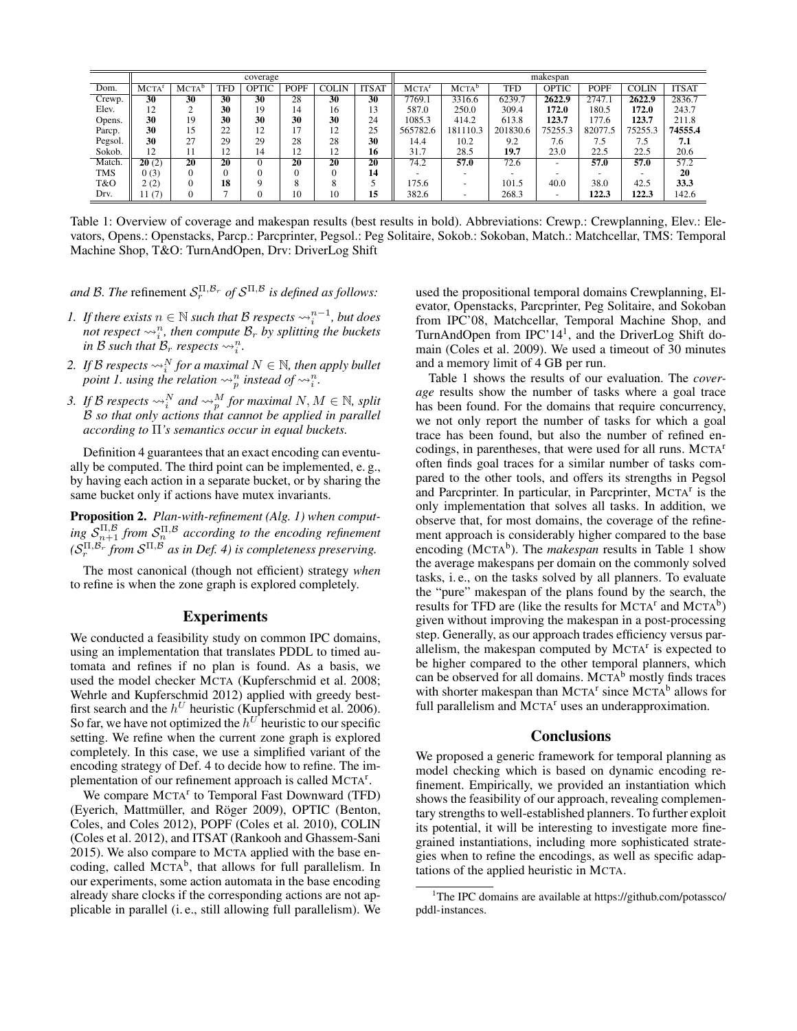|            | coverage    |                   |                 |       |                      |              |              | makespan          |                   |          |                          |             |              |              |
|------------|-------------|-------------------|-----------------|-------|----------------------|--------------|--------------|-------------------|-------------------|----------|--------------------------|-------------|--------------|--------------|
| Dom.       | <b>MCTA</b> | MCTA <sup>b</sup> | TFD             | OPTIC | POPF                 | <b>COLIN</b> | <b>ITSAT</b> | MCTA <sup>r</sup> | Мста <sup>ь</sup> | TFD      | <b>OPTIC</b>             | <b>POPF</b> | <b>COLIN</b> | <b>ITSAT</b> |
| Crewp.     | 30          | 30                | 30              | 30    | 28                   | 30           | 30           | 7769.1            | 3316.6            | 6239.7   | 2622.9                   | 2747.1      | 2622.9       | 2836.7       |
| Elev.      | 12          |                   | 30              | 19    | 14                   | 16           | 13           | 587.0             | 250.0             | 309.4    | 172.0                    | 180.5       | 172.0        | 243.7        |
| Opens.     | 30          | 19                | 30              | 30    | 30                   | 30           | 24           | 1085.3            | 414.2             | 613.8    | 123.7                    | 177.6       | 123.7        | 211.8        |
| Parcp.     | 30          | l5                | 22              | 12    | 17                   | 12           | 25           | 565782.6          | 181110.3          | 201830.6 | 75255.3                  | 82077.5     | 75255.3      | 74555.4      |
| Pegsol.    | 30          | 27                | 29              | 29    | 28                   | 28           | 30           | 14.4              | 10.2              | 9.2      | 7.6                      | 7.5         | 7.5          | 7.1          |
| Sokob.     | 12          |                   | 12              | 14    | 1 <sub>2</sub><br>14 | 12           | 16           | 31.7              | 28.5              | 19.7     | 23.0                     | 22.5        | 22.5         | 20.6         |
| Match.     | 20(2)       | 20                | $\overline{20}$ |       | 20                   | 20           | 20           | 74.2              | 57.0              | 72.6     | -                        | 57.0        | 57.0         | 57.2         |
| <b>TMS</b> | 0(3)        |                   |                 |       |                      |              | 14           |                   |                   |          |                          |             |              | 20           |
| T&O        | 2(2)        |                   | 18              |       | $\Omega$             |              |              | 175.6             |                   | 101.5    | 40.0                     | 38.0        | 42.5         | 33.3         |
| Drv.       | 1(7)        |                   |                 |       | 10                   | 10           | 15           | 382.6             |                   | 268.3    | $\overline{\phantom{0}}$ | 122.3       | 122.3        | 142.6        |

Table 1: Overview of coverage and makespan results (best results in bold). Abbreviations: Crewp.: Crewplanning, Elev.: Elevators, Opens.: Openstacks, Parcp.: Parcprinter, Pegsol.: Peg Solitaire, Sokob.: Sokoban, Match.: Matchcellar, TMS: Temporal Machine Shop, T&O: TurnAndOpen, Drv: DriverLog Shift

and B. The refinement  $S_r^{\Pi, \mathcal{B}_r}$  of  $S^{\Pi, \mathcal{B}}$  is defined as follows:

- *1. If there exists*  $n \in \mathbb{N}$  *such that* B *respects*  $\sim_i^{n-1}$ *, but does* not respect  $\leadsto_i^n$ , then compute  $\mathcal{B}_r$  by splitting the buckets in B such that  $\mathcal{B}_r$  respects  $\leadsto_i^n$ .
- 2. If B respects  $\leadsto_i^N$  for a maximal  $N \in \mathbb{N}$ , then apply bullet point 1. using the relation  $\leadsto_p^n$  instead of  $\leadsto_i^n$ .
- *3.* If B respects  $\leadsto_i^N$  and  $\leadsto_p^M$  for maximal  $N, M \in \mathbb{N}$ , split B *so that only actions that cannot be applied in parallel according to* Π*'s semantics occur in equal buckets.*

Definition 4 guarantees that an exact encoding can eventually be computed. The third point can be implemented, e. g., by having each action in a separate bucket, or by sharing the same bucket only if actions have mutex invariants.

Proposition 2. *Plan-with-refinement (Alg. 1) when comput*ing  $\mathcal{S}_{n+1}^{\Pi,\mathcal{B}}$  *from*  $\mathcal{S}_n^{\Pi,\mathcal{B}}$  according to the encoding refinement  $(S_r^{\Pi,\mathcal{B}_r}$  from  $\mathcal{S}^{\Pi,\mathcal{B}}$  as in Def. 4) is completeness preserving.

The most canonical (though not efficient) strategy *when* to refine is when the zone graph is explored completely.

### Experiments

We conducted a feasibility study on common IPC domains, using an implementation that translates PDDL to timed automata and refines if no plan is found. As a basis, we used the model checker MCTA (Kupferschmid et al. 2008; Wehrle and Kupferschmid 2012) applied with greedy bestfirst search and the  $h^U$  heuristic (Kupferschmid et al. 2006). So far, we have not optimized the  $h^{U}$  heuristic to our specific setting. We refine when the current zone graph is explored completely. In this case, we use a simplified variant of the encoding strategy of Def. 4 to decide how to refine. The implementation of our refinement approach is called MCTA<sup>r</sup>.

We compare MCTA<sup>r</sup> to Temporal Fast Downward (TFD) (Eyerich, Mattmüller, and Röger 2009), OPTIC (Benton, Coles, and Coles 2012), POPF (Coles et al. 2010), COLIN (Coles et al. 2012), and ITSAT (Rankooh and Ghassem-Sani 2015). We also compare to MCTA applied with the base encoding, called  $MCTA<sup>b</sup>$ , that allows for full parallelism. In our experiments, some action automata in the base encoding already share clocks if the corresponding actions are not applicable in parallel (i. e., still allowing full parallelism). We

used the propositional temporal domains Crewplanning, Elevator, Openstacks, Parcprinter, Peg Solitaire, and Sokoban from IPC'08, Matchcellar, Temporal Machine Shop, and TurnAndOpen from  $IPC$ '14<sup>1</sup>, and the DriverLog Shift domain (Coles et al. 2009). We used a timeout of 30 minutes and a memory limit of 4 GB per run.

Table 1 shows the results of our evaluation. The *coverage* results show the number of tasks where a goal trace has been found. For the domains that require concurrency, we not only report the number of tasks for which a goal trace has been found, but also the number of refined encodings, in parentheses, that were used for all runs. MCTA<sup>r</sup> often finds goal traces for a similar number of tasks compared to the other tools, and offers its strengths in Pegsol and Parcprinter. In particular, in Parcprinter, MCTA<sup>r</sup> is the only implementation that solves all tasks. In addition, we observe that, for most domains, the coverage of the refinement approach is considerably higher compared to the base encoding (MCTA<sup>b</sup>). The *makespan* results in Table 1 show the average makespans per domain on the commonly solved tasks, i. e., on the tasks solved by all planners. To evaluate the "pure" makespan of the plans found by the search, the results for TFD are (like the results for  $MCTA<sup>r</sup>$  and  $MCTA<sup>b</sup>$ ) given without improving the makespan in a post-processing step. Generally, as our approach trades efficiency versus parallelism, the makespan computed by MCTA<sup>r</sup> is expected to be higher compared to the other temporal planners, which can be observed for all domains.  $MCTA<sup>b</sup>$  mostly finds traces with shorter makespan than  $MCTA<sup>r</sup>$  since  $MCTA<sup>b</sup>$  allows for full parallelism and  $MCTA<sup>r</sup>$  uses an underapproximation.

#### **Conclusions**

We proposed a generic framework for temporal planning as model checking which is based on dynamic encoding refinement. Empirically, we provided an instantiation which shows the feasibility of our approach, revealing complementary strengths to well-established planners. To further exploit its potential, it will be interesting to investigate more finegrained instantiations, including more sophisticated strategies when to refine the encodings, as well as specific adaptations of the applied heuristic in MCTA.

<sup>&</sup>lt;sup>1</sup>The IPC domains are available at https://github.com/potassco/ pddl-instances.